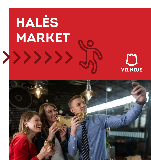# **HALĖS MARKET**



 $\overline{C}$ 

**VILNIUS**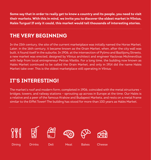**Some say that in order to really get to know a country and its people, you need to visit their markets. With this in mind, we invite you to discover the oldest market in Vilnius, Halės Turgus! If only it could, this market would tell thousands of interesting stories.**

# **THE VERY BEGINNING**

In the 15th century, the site of the current marketplace was initially named the Horse Market. Later, in the 16th century, it became known as the Grain Market, when, after the city wall was built, it found itself in the suburbs. In 1906, at the intersection of Pylimo and Bazilijonų Streets, a new market was erected, designed by Vilnius architect and engineer Vaclovas Michnevičius with help from local entrepreneur Petras Vileišis. For a long time, the building now known as Halės Market continued to be called the Grain Market, and only in 1914 did the name Halės Market take over. This is the oldest marketplace still operating in Vilnius.

# **IT'S INTERESTING!**

The market's roof and modern form, completed in 1906, coincided with the metal structures – bridges, towers, and railway stations – sprouting up across in Europe at the time. Our Halės is a relative and a peer of the famous Krakow and Budapest Markets, and rests on a metal frame similar to the Eiffel Tower! The building has stood for more than 100 years as Halės Market.

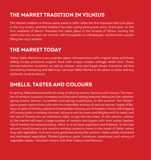## **THE MARKET TRADITION IN VILNIUS**

The market tradition in Vilnius dates back to 1604, when the first Kaziukas Fair took place in the city centre, and this tradition has been going strong ever since. Every year, on the first weekend of March, Kaziukas Fair takes place in the streets of Vilnius, turning the entire city into an open-air market, with thousands of craftspeople, vendors and tourists filling the city's streets.

#### **THE MARKET TODAY**

Today, Halės Market is a very popular place: entrepreneurs with original ideas and those selling locally-produced organic food with unique recipes willingly settle here. These include bakeries, butchers, as well as cheese, wine and bagel shops. Everyone will find something interesting and delicious, because Halės Market is the place to taste and buy authentic local products.

#### **SMELLS, TASTES AND COLOURS**

In spring, Halės blossoms with an array of alluring scents, flavours and colours. The number of vendors outdoors increases and they start selling seasonal delicacies like radishes, spring onions, lettuce, cucumbers and spring mushrooms. In the summer, the marketplace greets visitors from afar with the irresistible aromas of various berries, heads of Boletus or piles of freshly collected Chanterelles sticking out of baskets. Honey still dripping off honeycombs or already churned, attracts with its scent and delights with its taste, and the sea of flowers are an impressive sight, to say the very least. In the autumn, visitors to the market will meet a large number of vendors and buyers with their wicker baskets full of freshly harvested produce, which is at its least expensive and freshest. In the late autumn, local farmers and vendors working outdoors move to the inside of Halės, where they sell vegetables, fruit and roots gathered during the summer. Halės smells of pickled and marinated vegetables. Pickled gherkins, garlic, tomatoes, sauerkraut, and variety of vegetable salads – enchant visitors with their colours and flavours.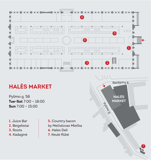

# **HALĖS MARKET**

Pylimo g. 58 **Tue-Sat** 7:00 – 18:00 **Sun** 7:00 – 15:00

**1.** Juice Bar **2.** Beigelistai **3.** Roots **4.** Kadaginė

**5.** Country bacon by Mečislovas Mlečka **6.** Halės Deli **7.** Keulė Rūkė

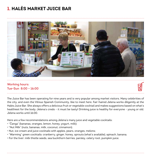### **1. HALĖS MARKET JUICE BAR**



#### **Working hours: Tue-Sun 8:00 – 16:00**



The Juice Bar has been operating for nine years and is very popular among market visitors. Many celebrities of the city, and even the Vilnius Spanish Community, like to meet here. Fair-haired Jelena works diligently at the Halės Juice Bar. She always offers a delicious fruit or vegetable cocktail and makes suggestions based on what's healthiest for the body. Jelena's credo - it must be tasty! Drinking juice is healthy for everyone - young or old. Jelena works until 16:00.

Here are a few recommendations among Jelena's many juice and vegetable cocktails:

- "Čanga" (bananas, oranges, lemon, honey, yogurt, milk);
- "Nut Milk" (nuts, bananas, milk, coconut, cinnamon);
- Nut, ice cream and juice cocktails with apples, pears, oranges, melons;
- "Warming" green cocktails: cranberry, ginger, honey, sprouts (what's available), spinach, banana;
- For the liver: milk thistle seeds, sea buckthorn berries, parsley, celery root, pumpkin juice.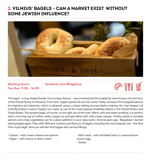#### **2. VILNIUS' BAGELS - CAN A MARKET EXIST WITHOUT SOME JEWISH INFLUENCE?**



# **Tue-Sun 9:00 – 16:00**

**Working hours: facebook.com/Beigelistai**

# $\frac{1}{\sqrt{2}}$   $\frac{1}{\sqrt{2}}$

The bagel – a ring-shaped bread roll of unique flavour – was invented and first baked by Jews living in the territory of the Grand Duchy of Lithuania. From here, bagels spread all over the world. Today, because of its magical balance of crispness and elasticity, which is obtained using a unique baking process (before baking, the ring-shaped roll is briefly boiled in water), bagels now make up one of the most popular breakfast dishes in the United States and Great Britain. The tastiest bagel, of course, is one right out of the oven. Warm, soft and sweet smelling, it is perfect with a morning cup of coffee; while a bagel cut and garnished with mild cream cheese, freshly salted or smoked salmon and crispy vegetables can be a great addition to your daily lunch. Several years ago, "Beigelistai" started baking bagels again. They offer different varieties and flavours of bagels, including the most popular one - the New York-style bagel. Here you will also find bagels with various fillings:

- Classic with cream cheese and salmon;
- Vegan with humus or bean cream;

• With meat - with shredded beef or roasted bacon and an egg; • Sweet.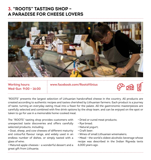#### **3. "ROOTS" TASTING SHOP – A PARADISE FOR CHEESE LOVERS**



# **Wed-Sun 9:00 – 16:00**

**Working hours: www.facebook.com/RootsVilnius**



"ROOTS" presents the largest selection of Lithuanian handcrafted cheese in the country. All products are created according to authentic recipes and tastes cherished by Lithuanian farmers. Each product is a journey of taste, turning an everyday eating ritual into a feast for the palate. All the gastronomic masterpieces are carefully selected and combined with fine drink options by the shop team, and can be enjoyed on the spot or taken to go for use in a memorable home-cooked meal.

The "ROOTS" tasting shop provides customers with unexpected taste discoveries and offers carefully selected products, including:

• Goat, sheep, and cow cheeses of different maturity and colourful flavour range, and widely used in an endless number of dishes, or simply tasted with a glass of wine;

• Matured apple cheeses - a wonderful dessert and a great gift from Lithuania;

- Dried or cured meat products;
- Rye bread;
- Natural yogurt;
- Craft beer;
- Wines of small Lithuanian winemakers;

• Mead - the world's oldest alcoholic beverage whose recipe was described in the Indian Rigveda texts 6,000 years ago.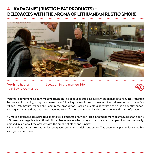#### **4. "KADAGINĖ" (RUSTIC MEAT PRODUCTS) – DELICACIES WITH THE AROMA OF LITHUANIAN RUSTIC SMOKE**



# **Tue-Sun 9:00 – 15:00**

**Working hours: Location in the market: 18A**



Valeras is continuing his family's long tradition - he produces and sells his own smoked meat products. Although he grew up in the city, today he smokes meat following the traditions of meat smoking taken over from his wife's village. Only natural spices are used in the production. Foreign guests gladly taste the rustic country bacon, sausages, hams and pig knuckles seasoned to perfection and smoked with alder smoke and a hint of juniper.

• Smoked sausages are attractive meat sticks smelling of juniper. Hard, and made from premium beef and pork;

• Smoked sausage is a traditional Lithuanian sausage, which stays true to ancient recipes. Matured naturally, smoked in a rustic-type smoker with the smoke of alder and juniper;

• Smoked pig ears - internationally recognised as the most delicious snack. This delicacy is particularly suitable alongside a cold beer.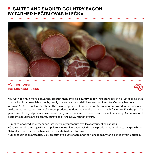#### **5. SALTED AND SMOKED COUNTRY BACON BY FARMER MEČISLOVAS MLEČKA**



#### **Working hours: Tue-Sun 9:00 – 16:00**



You will not find a more Lithuanian product than smoked country bacon. You start salivating just looking at it or smelling it: a brownish, crunchy, easily chewed skin and delicious aroma of smoke. Country bacon is rich in vitamins A, D, E, as well as carotene. The main thing - it contains about 60% vital non-saturated fat (arachidonic) acids. Most people who try Mečislovas' products undoubtedly end up coming back for more. For the past 14 years, even foreign diplomats have been buying salted, smoked or cured meat products made by Mečislovas. And accidental tourists are pleasantly surprised by the newly found flavours.

- Smoked or salted country bacon just melts in your mouth and leaves you feeling satiated;
- Cold-smoked ham a joy for your palate! A natural, traditional Lithuanian product matured by turning it in brine. Natural spices provide the ham with a delicate taste and aroma;
- Smoked loin is an aromatic, juicy product of a subtle taste and the highest quality and is made from pork loin.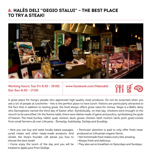#### **6. HALĖS DELI "GEGIO STALUI" – THE BEST PLACE TO TRY A STEAK!**



**Working hours: Tue-Fri 8:30 – 19:00; www.facebook.com/Halesdeli Sat-Sun 8:30 – 17:00**



A great place for hungry people who appreciate high-quality meat products. Do not be surprised when you see a lot of people at lunchtime - this is the perfect place to have lunch. Visitors are particularly attracted to the fact that in addition to tasting great, the food always offers great value for money. Gegis is a Baltic deity who Samogitians named the third day of Easter after. Symbolically, on that day, chickens were brought to the church to be sanctified. On the festive table, there were dishes made of game and poultry, symbolising the gods of heaven. The meat (turkey, rabbit, quail, venison, duck, goose, chicken, beef, mutton, lamb, pork, goat) comes from small farmers all over Lithuania - Žemaitija, Aukštaitija, Dzūkija and Suvalkija.

• Here you can buy and taste locally baked sausages, cured meats and other ready-made products. And Jūratė, the shop's founder, will advise you how to choose the best steak!

• Come enjoy the lunch of the day and you will be treated to apple juice from Dzūkija;

• Particular attention is paid to only offer fresh meat produced on Lithuanian organic farms;

- Hot homemade food makes every bite amazing;
- Always fresh and delicious;
- They also serve breakfast on Saturdays and Sundays;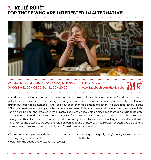#### **7. "KEULĖ RŪKĖ" – FOR THOSE WHO ARE INTERESTED IN ALTERNATIVE!**



**Working hours: Mon-Thu 11:30 – 20:00; Fri 11:30 – 04:00; Sat 12:00 – 04:00; Sun 12:00 – 20:00**

**Pylimo St. 66, www.facebook.com/keule.ruke**

A work of astonishing street art that attracts tourists from all over the world can be found on the outside wall of this scandalous barbeque eatery! The original mural depicted a kiss between Vladimir Putin and Donald Trump, but after being defaced – they are now seen sharing a smoke together. The barbecue eatery "Keulė Rūkė" is a great place to enjoy an alternative environment, Lithuanian beer and popular food - exclusive Lithuanian pork ribs or long-smoked meat burgers. Excellent prices, portion sizes and taste ratio! Due to its popularity, you may need to wait for these delicacies for up to an hour. Courageous people who like adrenaline usually visit this place, so when you are inside, prepare yourself to see some shocking interior décor details. More interesting places to lay your backside on can be found outdoors. If you're lucky enough, you'll be able to listen to jazz, blues and other "piggishly tasty" music. We recommend:

- To see and take a picture with the street art mural;
- Tasting burgers or pork ribs;
- Waiting in the queue and chatting with locals;
- Listening to "piggishly tasty" music, while sitting in a bathtub.